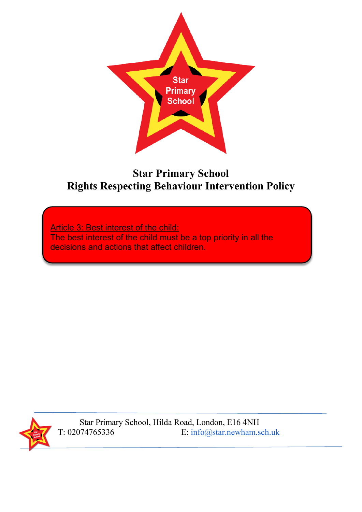

# **Star Primary School Rights Respecting Behaviour Intervention Policy**

Article 3: Best interest of the child: The best interest of the child must be a top priority in all the decisions and actions that affect children.



Star Primary School, Hilda Road, London, E16 4NH<br>T: 02074765336 E: info@star.newham.s E: [info@star.newham.sch.uk](mailto:info@star.newham.sch.uk)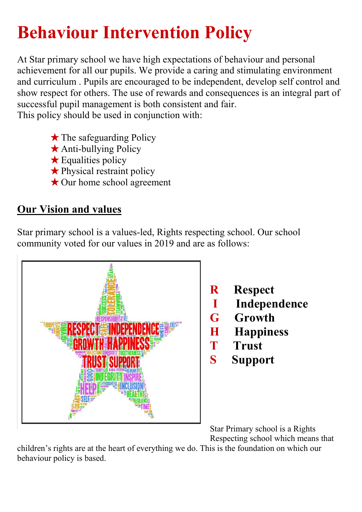# **Behaviour Intervention Policy**

At Star primary school we have high expectations of behaviour and personal achievement for all our pupils. We provide a caring and stimulating environment and curriculum . Pupils are encouraged to be independent, develop self control and show respect for others. The use of rewards and consequences is an integral part of successful pupil management is both consistent and fair. This policy should be used in conjunction with:

- $\star$  The safeguarding Policy
- ★Anti-bullying Policy
- $\star$  Equalities policy
- ★Physical restraint policy
- ★Our home school agreement

# **Our Vision and values**

Star primary school is a values-led, Rights respecting school. Our school community voted for our values in 2019 and are as follows:





Star Primary school is a Rights Respecting school which means that

children's rights are at the heart of everything we do. This is the foundation on which our behaviour policy is based.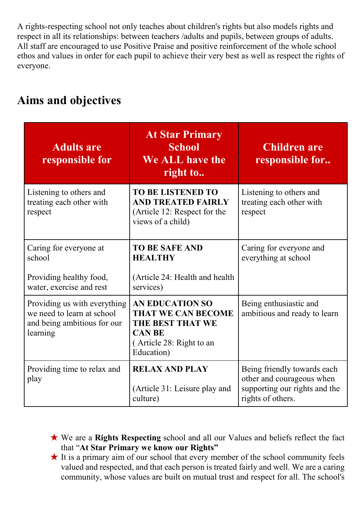A rights-respecting school not only teaches about children's rights but also models rights and respect in all its relationships: between teachers /adults and pupils, between groups of adults. All staff are encouraged to use Positive Praise and positive reinforcement of the whole school ethos and values in order for each pupil to achieve their very best as well as respect the rights of everyone.

| <b>Adults are</b><br>responsible for                                                                  | <b>At Star Primary</b><br><b>School</b><br>We ALL have the<br>right to                                                             | <b>Children are</b><br>responsible for                                                                         |
|-------------------------------------------------------------------------------------------------------|------------------------------------------------------------------------------------------------------------------------------------|----------------------------------------------------------------------------------------------------------------|
| Listening to others and<br>treating each other with<br>respect                                        | <b>TO BE LISTENED TO</b><br><b>AND TREATED FAIRLY</b><br>(Article 12: Respect for the<br>views of a child)                         | Listening to others and<br>treating each other with<br>respect                                                 |
| Caring for everyone at<br>school<br>Providing healthy food,<br>water, exercise and rest               | <b>TO BE SAFE AND</b><br><b>HEALTHY</b><br>(Article 24: Health and health)<br>services)                                            | Caring for everyone and<br>everything at school                                                                |
| Providing us with everything<br>we need to learn at school<br>and being ambitious for our<br>learning | <b>AN EDUCATION SO</b><br><b>THAT WE CAN BECOME</b><br>THE BEST THAT WE<br><b>CAN BE</b><br>(Article 28: Right to an<br>Education) | Being enthusiastic and<br>ambitious and ready to learn                                                         |
| Providing time to relax and<br>play                                                                   | <b>RELAX AND PLAY</b><br>(Article 31: Leisure play and<br>culture)                                                                 | Being friendly towards each<br>other and courageous when<br>supporting our rights and the<br>rights of others. |

# **Aims and objectives**

- ★ We are a **Rights Respecting** school and all our Values and beliefs reflect the fact that "**At Star Primary we know our Rights"**
- $\star$  It is a primary aim of our school that every member of the school community feels valued and respected, and that each person is treated fairly and well. We are a caring community, whose values are built on mutual trust and respect for all. The school's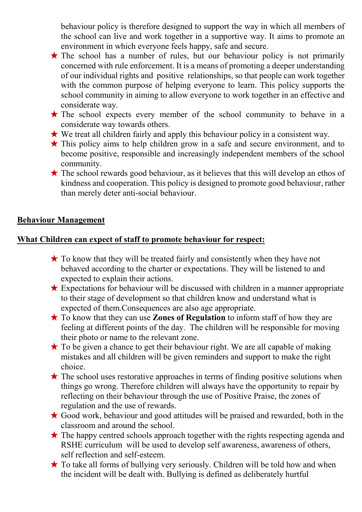behaviour policy is therefore designed to support the way in which all members of the school can live and work together in a supportive way. It aims to promote an environment in which everyone feels happy, safe and secure.

- $\star$  The school has a number of rules, but our behaviour policy is not primarily concerned with rule enforcement. It is a means of promoting a deeper understanding of our individual rights and positive relationships, so that people can work together with the common purpose of helping everyone to learn. This policy supports the school community in aiming to allow everyone to work together in an effective and considerate way.
- $\star$  The school expects every member of the school community to behave in a considerate way towards others.
- $\star$  We treat all children fairly and apply this behaviour policy in a consistent way.
- ★ This policy aims to help children grow in a safe and secure environment, and to become positive, responsible and increasingly independent members of the school community.
- ★ The school rewards good behaviour, as it believes that this will develop an ethos of kindness and cooperation. This policy is designed to promote good behaviour, rather than merely deter anti-social behaviour.

#### **Behaviour Management**

#### **What Children can expect of staff to promote behaviour for respect:**

- $\star$  To know that they will be treated fairly and consistently when they have not behaved according to the charter or expectations. They will be listened to and expected to explain their actions.
- $\star$  Expectations for behaviour will be discussed with children in a manner appropriate to their stage of development so that children know and understand what is expected of them.Consequences are also age appropriate.
- ★ To know that they can use **Zones of Regulation** to inform staff of how they are feeling at different points of the day. The children will be responsible for moving their photo or name to the relevant zone.
- $\star$  To be given a chance to get their behaviour right. We are all capable of making mistakes and all children will be given reminders and support to make the right choice.
- $\star$  The school uses restorative approaches in terms of finding positive solutions when things go wrong. Therefore children will always have the opportunity to repair by reflecting on their behaviour through the use of Positive Praise, the zones of regulation and the use of rewards.
- $\star$  Good work, behaviour and good attitudes will be praised and rewarded, both in the classroom and around the school.
- $\star$  The happy centred schools approach together with the rights respecting agenda and RSHE curriculum will be used to develop self awareness, awareness of others, self reflection and self-esteem.
- ★ To take all forms of bullying very seriously. Children will be told how and when the incident will be dealt with. Bullying is defined as deliberately hurtful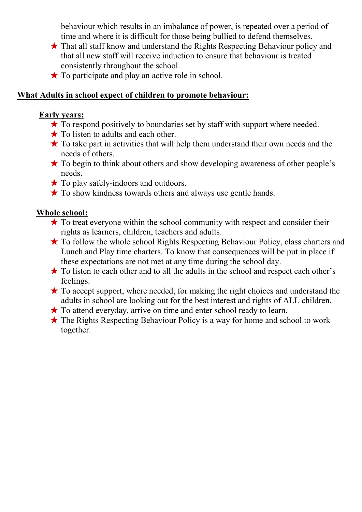behaviour which results in an imbalance of power, is repeated over a period of time and where it is difficult for those being bullied to defend themselves.

- ★ That all staff know and understand the Rights Respecting Behaviour policy and that all new staff will receive induction to ensure that behaviour is treated consistently throughout the school.
- $\star$  To participate and play an active role in school.

#### **What Adults in school expect of children to promote behaviour:**

#### **Early years:**

- $\star$  To respond positively to boundaries set by staff with support where needed.
- $\star$  To listen to adults and each other.
- $\star$  To take part in activities that will help them understand their own needs and the needs of others.
- ★ To begin to think about others and show developing awareness of other people's needs.
- $\star$  To play safely-indoors and outdoors.
- $\star$  To show kindness towards others and always use gentle hands.

#### **Whole school:**

- $\star$  To treat everyone within the school community with respect and consider their rights as learners, children, teachers and adults.
- ★ To follow the whole school Rights Respecting Behaviour Policy, class charters and Lunch and Play time charters. To know that consequences will be put in place if these expectations are not met at any time during the school day.
- ★ To listen to each other and to all the adults in the school and respect each other's feelings.
- $\star$  To accept support, where needed, for making the right choices and understand the adults in school are looking out for the best interest and rights of ALL children.
- ★ To attend everyday, arrive on time and enter school ready to learn.
- $\star$  The Rights Respecting Behaviour Policy is a way for home and school to work together.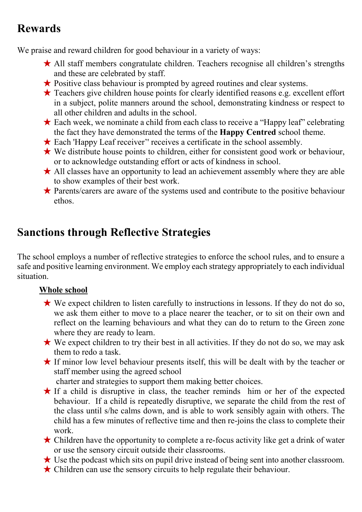# **Rewards**

We praise and reward children for good behaviour in a variety of ways:

- ★ All staff members congratulate children. Teachers recognise all children's strengths and these are celebrated by staff.
- ★ Positive class behaviour is prompted by agreed routines and clear systems.
- ★ Teachers give children house points for clearly identified reasons e.g. excellent effort in a subject, polite manners around the school, demonstrating kindness or respect to all other children and adults in the school.
- $\star$  Each week, we nominate a child from each class to receive a "Happy leaf" celebrating the fact they have demonstrated the terms of the **Happy Centred** school theme.
- ★ Each 'Happy Leaf receiver'' receives a certificate in the school assembly.
- ★ We distribute house points to children, either for consistent good work or behaviour, or to acknowledge outstanding effort or acts of kindness in school.
- **★ All classes have an opportunity to lead an achievement assembly where they are able** to show examples of their best work.
- ★ Parents/carers are aware of the systems used and contribute to the positive behaviour ethos.

# **Sanctions through Reflective Strategies**

The school employs a number of reflective strategies to enforce the school rules, and to ensure a safe and positive learning environment. We employ each strategy appropriately to each individual situation.

#### **Whole school**

- ★ We expect children to listen carefully to instructions in lessons. If they do not do so, we ask them either to move to a place nearer the teacher, or to sit on their own and reflect on the learning behaviours and what they can do to return to the Green zone where they are ready to learn.
- $\star$  We expect children to try their best in all activities. If they do not do so, we may ask them to redo a task.
- ★ If minor low level behaviour presents itself, this will be dealt with by the teacher or staff member using the agreed school

charter and strategies to support them making better choices.

- $\star$  If a child is disruptive in class, the teacher reminds him or her of the expected behaviour. If a child is repeatedly disruptive, we separate the child from the rest of the class until s/he calms down, and is able to work sensibly again with others. The child has a few minutes of reflective time and then re-joins the class to complete their work.
- $\star$  Children have the opportunity to complete a re-focus activity like get a drink of water or use the sensory circuit outside their classrooms.
- ★ Use the podcast which sits on pupil drive instead of being sent into another classroom.
- ★ Children can use the sensory circuits to help regulate their behaviour.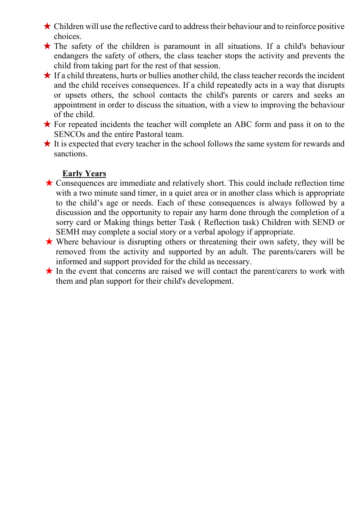$\star$  Children will use the reflective card to address their behaviour and to reinforce positive choices.

- ★ The safety of the children is paramount in all situations. If a child's behaviour endangers the safety of others, the class teacher stops the activity and prevents the child from taking part for the rest of that session.
- $\star$  If a child threatens, hurts or bullies another child, the class teacher records the incident and the child receives consequences. If a child repeatedly acts in a way that disrupts or upsets others, the school contacts the child's parents or carers and seeks an appointment in order to discuss the situation, with a view to improving the behaviour of the child.
- ★ For repeated incidents the teacher will complete an ABC form and pass it on to the SENCOs and the entire Pastoral team.
- $\star$  It is expected that every teacher in the school follows the same system for rewards and sanctions.

#### **Early Years**

- $\star$  Consequences are immediate and relatively short. This could include reflection time with a two minute sand timer, in a quiet area or in another class which is appropriate to the child's age or needs. Each of these consequences is always followed by a discussion and the opportunity to repair any harm done through the completion of a sorry card or Making things better Task ( Reflection task) Children with SEND or SEMH may complete a social story or a verbal apology if appropriate.
- ★ Where behaviour is disrupting others or threatening their own safety, they will be removed from the activity and supported by an adult. The parents/carers will be informed and support provided for the child as necessary.
- $\star$  In the event that concerns are raised we will contact the parent/carers to work with them and plan support for their child's development.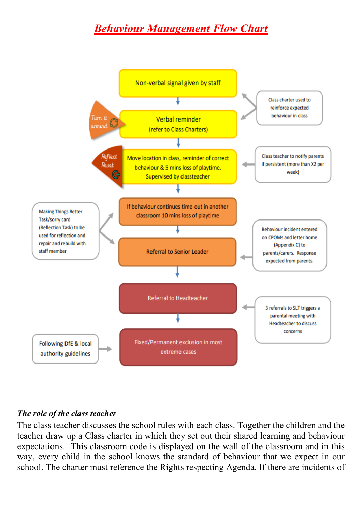# *Behaviour Management Flow Chart*



#### *The role of the class teacher*

The class teacher discusses the school rules with each class. Together the children and the teacher draw up a Class charter in which they set out their shared learning and behaviour expectations. This classroom code is displayed on the wall of the classroom and in this way, every child in the school knows the standard of behaviour that we expect in our school. The charter must reference the Rights respecting Agenda. If there are incidents of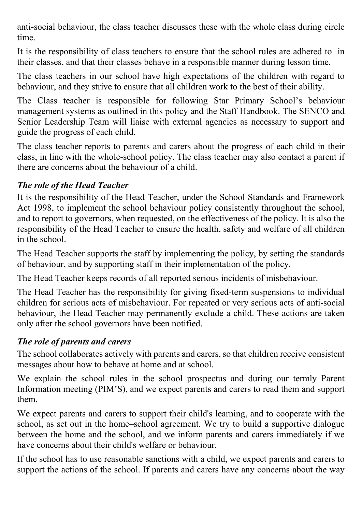anti-social behaviour, the class teacher discusses these with the whole class during circle time.

It is the responsibility of class teachers to ensure that the school rules are adhered to in their classes, and that their classes behave in a responsible manner during lesson time.

The class teachers in our school have high expectations of the children with regard to behaviour, and they strive to ensure that all children work to the best of their ability.

The Class teacher is responsible for following Star Primary School's behaviour management systems as outlined in this policy and the Staff Handbook. The SENCO and Senior Leadership Team will liaise with external agencies as necessary to support and guide the progress of each child.

The class teacher reports to parents and carers about the progress of each child in their class, in line with the whole-school policy. The class teacher may also contact a parent if there are concerns about the behaviour of a child.

#### *The role of the Head Teacher*

It is the responsibility of the Head Teacher, under the School Standards and Framework Act 1998, to implement the school behaviour policy consistently throughout the school, and to report to governors, when requested, on the effectiveness of the policy. It is also the responsibility of the Head Teacher to ensure the health, safety and welfare of all children in the school.

The Head Teacher supports the staff by implementing the policy, by setting the standards of behaviour, and by supporting staff in their implementation of the policy.

The Head Teacher keeps records of all reported serious incidents of misbehaviour.

The Head Teacher has the responsibility for giving fixed-term suspensions to individual children for serious acts of misbehaviour. For repeated or very serious acts of anti-social behaviour, the Head Teacher may permanently exclude a child. These actions are taken only after the school governors have been notified.

#### *The role of parents and carers*

The school collaborates actively with parents and carers, so that children receive consistent messages about how to behave at home and at school.

We explain the school rules in the school prospectus and during our termly Parent Information meeting (PIM'S), and we expect parents and carers to read them and support them.

We expect parents and carers to support their child's learning, and to cooperate with the school, as set out in the home–school agreement. We try to build a supportive dialogue between the home and the school, and we inform parents and carers immediately if we have concerns about their child's welfare or behaviour.

If the school has to use reasonable sanctions with a child, we expect parents and carers to support the actions of the school. If parents and carers have any concerns about the way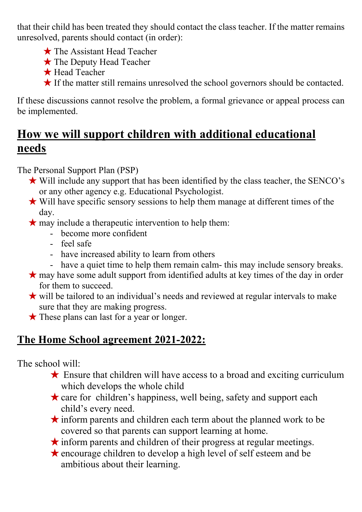that their child has been treated they should contact the class teacher. If the matter remains unresolved, parents should contact (in order):

- ★ The Assistant Head Teacher
- ★ The Deputy Head Teacher
- ★ Head Teacher
- ★ If the matter still remains unresolved the school governors should be contacted.

If these discussions cannot resolve the problem, a formal grievance or appeal process can be implemented.

# **How we will support children with additional educational needs**

The Personal Support Plan (PSP)

- ★ Will include any support that has been identified by the class teacher, the SENCO's or any other agency e.g. Educational Psychologist.
- ★ Will have specific sensory sessions to help them manage at different times of the day.
- $\star$  may include a therapeutic intervention to help them:
	- become more confident
	- feel safe
	- have increased ability to learn from others
	- have a quiet time to help them remain calm- this may include sensory breaks.
- ★ may have some adult support from identified adults at key times of the day in order for them to succeed.
- ★ will be tailored to an individual's needs and reviewed at regular intervals to make sure that they are making progress.
- ★ These plans can last for a year or longer.

# **The Home School agreement 2021-2022:**

The school will:

- $\star$  Ensure that children will have access to a broad and exciting curriculum which develops the whole child
- $\star$  care for children's happiness, well being, safety and support each child's every need.
- ★inform parents and children each term about the planned work to be covered so that parents can support learning at home.
- $\star$  inform parents and children of their progress at regular meetings.
- ★encourage children to develop a high level of self esteem and be ambitious about their learning.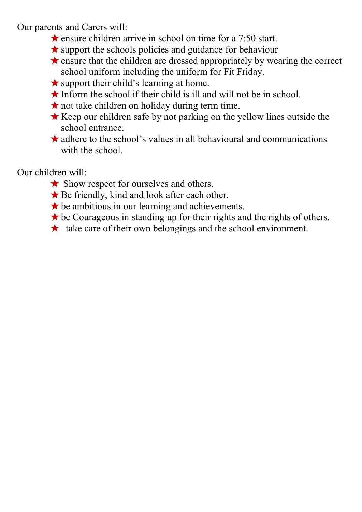Our parents and Carers will:

- $\star$  ensure children arrive in school on time for a 7:50 start.
- $\star$  support the schools policies and guidance for behaviour
- ★ensure that the children are dressed appropriately by wearing the correct school uniform including the uniform for Fit Friday.
- $\star$  support their child's learning at home.
- $\star$  Inform the school if their child is ill and will not be in school.
- $\star$  not take children on holiday during term time.
- ★Keep our children safe by not parking on the yellow lines outside the school entrance.
- $\star$  adhere to the school's values in all behavioural and communications with the school.

Our children will:

- **★ Show respect for ourselves and others.**
- $\bigstar$  Be friendly, kind and look after each other.
- $\star$  be ambitious in our learning and achievements.
- $\star$  be Courageous in standing up for their rights and the rights of others.
- $\star$  take care of their own belongings and the school environment.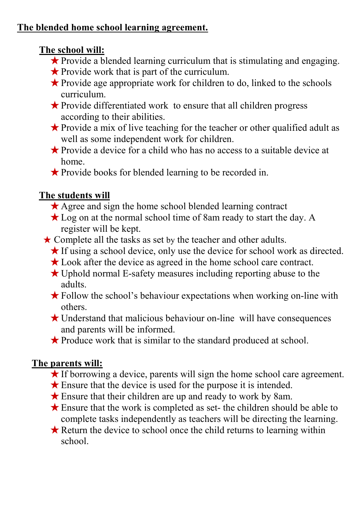### **The blended home school learning agreement.**

### **The school will:**

- ★Provide a blended learning curriculum that is stimulating and engaging.
- ★Provide work that is part of the curriculum.
- $\star$  Provide age appropriate work for children to do, linked to the schools curriculum.
- ★Provide differentiated work to ensure that all children progress according to their abilities.
- ★Provide a mix of live teaching for the teacher or other qualified adult as well as some independent work for children.
- ★Provide a device for a child who has no access to a suitable device at home.
- ★Provide books for blended learning to be recorded in.

### **The students will**

- ★ Agree and sign the home school blended learning contract
- ★ Log on at the normal school time of 8am ready to start the day. A register will be kept.
- ★ Complete all the tasks as set by the teacher and other adults.
	- ★If using a school device, only use the device for school work as directed.
	- ★Look after the device as agreed in the home school care contract.
	- $\star$  Uphold normal E-safety measures including reporting abuse to the adults.
	- $\star$  Follow the school's behaviour expectations when working on-line with others.
	- $\star$  Understand that malicious behaviour on-line will have consequences and parents will be informed.
	- ★Produce work that is similar to the standard produced at school.

# **The parents will:**

- ★If borrowing a device, parents will sign the home school care agreement.
- $\star$  Ensure that the device is used for the purpose it is intended.
- $\star$  Ensure that their children are up and ready to work by 8am.
- $\star$  Ensure that the work is completed as set- the children should be able to complete tasks independently as teachers will be directing the learning.
- $\star$  Return the device to school once the child returns to learning within school.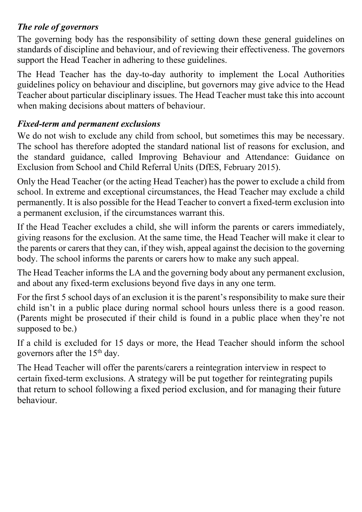#### *The role of governors*

The governing body has the responsibility of setting down these general guidelines on standards of discipline and behaviour, and of reviewing their effectiveness. The governors support the Head Teacher in adhering to these guidelines.

The Head Teacher has the day-to-day authority to implement the Local Authorities guidelines policy on behaviour and discipline, but governors may give advice to the Head Teacher about particular disciplinary issues. The Head Teacher must take this into account when making decisions about matters of behaviour.

#### *Fixed-term and permanent exclusions*

We do not wish to exclude any child from school, but sometimes this may be necessary. The school has therefore adopted the standard national list of reasons for exclusion, and the standard guidance, called Improving Behaviour and Attendance: Guidance on Exclusion from School and Child Referral Units (DfES, February 2015).

Only the Head Teacher (or the acting Head Teacher) has the power to exclude a child from school. In extreme and exceptional circumstances, the Head Teacher may exclude a child permanently. It is also possible for the Head Teacher to convert a fixed-term exclusion into a permanent exclusion, if the circumstances warrant this.

If the Head Teacher excludes a child, she will inform the parents or carers immediately, giving reasons for the exclusion. At the same time, the Head Teacher will make it clear to the parents or carers that they can, if they wish, appeal against the decision to the governing body. The school informs the parents or carers how to make any such appeal.

The Head Teacher informs the LA and the governing body about any permanent exclusion, and about any fixed-term exclusions beyond five days in any one term.

For the first 5 school days of an exclusion it is the parent's responsibility to make sure their child isn't in a public place during normal school hours unless there is a good reason. (Parents might be prosecuted if their child is found in a public place when they're not supposed to be.)

If a child is excluded for 15 days or more, the Head Teacher should inform the school governors after the 15<sup>th</sup> day.

The Head Teacher will offer the parents/carers a reintegration interview in respect to certain fixed-term exclusions. A strategy will be put together for reintegrating pupils that return to school following a fixed period exclusion, and for managing their future behaviour.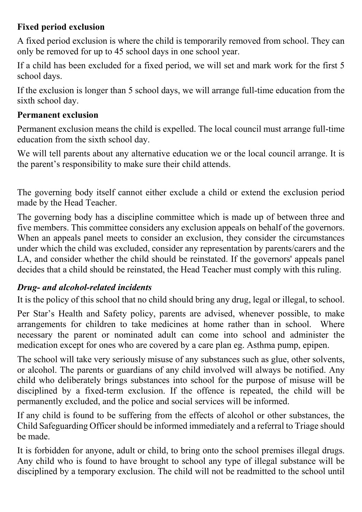#### **Fixed period exclusion**

A fixed period exclusion is where the child is temporarily removed from school. They can only be removed for up to 45 school days in one school year.

If a child has been excluded for a fixed period, we will set and mark work for the first 5 school days.

If the exclusion is longer than 5 school days, we will arrange full-time education from the sixth school day.

#### **Permanent exclusion**

Permanent exclusion means the child is expelled. The local council must arrange full-time education from the sixth school day.

We will tell parents about any alternative education we or the local council arrange. It is the parent's responsibility to make sure their child attends.

The governing body itself cannot either exclude a child or extend the exclusion period made by the Head Teacher.

The governing body has a discipline committee which is made up of between three and five members. This committee considers any exclusion appeals on behalf of the governors. When an appeals panel meets to consider an exclusion, they consider the circumstances under which the child was excluded, consider any representation by parents/carers and the LA, and consider whether the child should be reinstated. If the governors' appeals panel decides that a child should be reinstated, the Head Teacher must comply with this ruling.

#### *Drug- and alcohol-related incidents*

It is the policy of this school that no child should bring any drug, legal or illegal, to school.

Per Star's Health and Safety policy, parents are advised, whenever possible, to make arrangements for children to take medicines at home rather than in school. Where necessary the parent or nominated adult can come into school and administer the medication except for ones who are covered by a care plan eg. Asthma pump, epipen.

The school will take very seriously misuse of any substances such as glue, other solvents, or alcohol. The parents or guardians of any child involved will always be notified. Any child who deliberately brings substances into school for the purpose of misuse will be disciplined by a fixed-term exclusion. If the offence is repeated, the child will be permanently excluded, and the police and social services will be informed.

If any child is found to be suffering from the effects of alcohol or other substances, the Child Safeguarding Officer should be informed immediately and a referral to Triage should be made.

It is forbidden for anyone, adult or child, to bring onto the school premises illegal drugs. Any child who is found to have brought to school any type of illegal substance will be disciplined by a temporary exclusion. The child will not be readmitted to the school until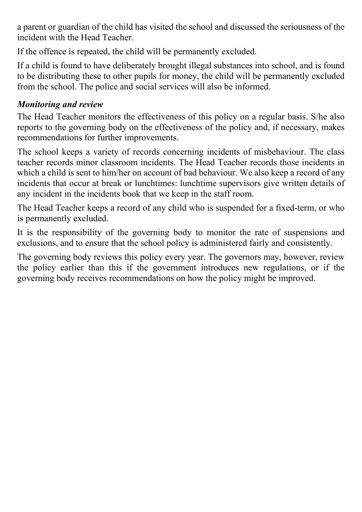a parent or guardian of the child has visited the school and discussed the seriousness of the incident with the Head Teacher.

If the offence is repeated, the child will be permanently excluded.

If a child is found to have deliberately brought illegal substances into school, and is found to be distributing these to other pupils for money, the child will be permanently excluded from the school. The police and social services will also be informed.

#### *Monitoring and review*

The Head Teacher monitors the effectiveness of this policy on a regular basis. S/he also reports to the governing body on the effectiveness of the policy and, if necessary, makes recommendations for further improvements.

The school keeps a variety of records concerning incidents of misbehaviour. The class teacher records minor classroom incidents. The Head Teacher records those incidents in which a child is sent to him/her on account of bad behaviour. We also keep a record of any incidents that occur at break or lunchtimes: lunchtime supervisors give written details of any incident in the incidents book that we keep in the staff room.

The Head Teacher keeps a record of any child who is suspended for a fixed-term, or who is permanently excluded.

It is the responsibility of the governing body to monitor the rate of suspensions and exclusions, and to ensure that the school policy is administered fairly and consistently.

The governing body reviews this policy every year. The governors may, however, review the policy earlier than this if the government introduces new regulations, or if the governing body receives recommendations on how the policy might be improved.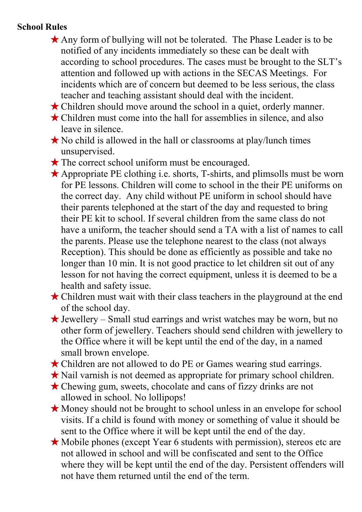#### **School Rules**

- ★Any form of bullying will not be tolerated. The Phase Leader is to be notified of any incidents immediately so these can be dealt with according to school procedures. The cases must be brought to the SLT's attention and followed up with actions in the SECAS Meetings. For incidents which are of concern but deemed to be less serious, the class teacher and teaching assistant should deal with the incident.
- ★Children should move around the school in a quiet, orderly manner.
- $\star$  Children must come into the hall for assemblies in silence, and also leave in silence.
- ★No child is allowed in the hall or classrooms at play/lunch times unsupervised.
- $\star$  The correct school uniform must be encouraged.
- $\star$  Appropriate PE clothing i.e. shorts, T-shirts, and plimsolls must be worn for PE lessons. Children will come to school in the their PE uniforms on the correct day. Any child without PE uniform in school should have their parents telephoned at the start of the day and requested to bring their PE kit to school. If several children from the same class do not have a uniform, the teacher should send a TA with a list of names to call the parents. Please use the telephone nearest to the class (not always Reception). This should be done as efficiently as possible and take no longer than 10 min. It is not good practice to let children sit out of any lesson for not having the correct equipment, unless it is deemed to be a health and safety issue.
- $\star$  Children must wait with their class teachers in the playground at the end of the school day.
- $\star$  Jewellery Small stud earrings and wrist watches may be worn, but no other form of jewellery. Teachers should send children with jewellery to the Office where it will be kept until the end of the day, in a named small brown envelope.
- ★Children are not allowed to do PE or Games wearing stud earrings.
- ★Nail varnish is not deemed as appropriate for primary school children.
- ★Chewing gum, sweets, chocolate and cans of fizzy drinks are not allowed in school. No lollipops!
- ★Money should not be brought to school unless in an envelope for school visits. If a child is found with money or something of value it should be sent to the Office where it will be kept until the end of the day.
- $\star$  Mobile phones (except Year 6 students with permission), stereos etc are not allowed in school and will be confiscated and sent to the Office where they will be kept until the end of the day. Persistent offenders will not have them returned until the end of the term.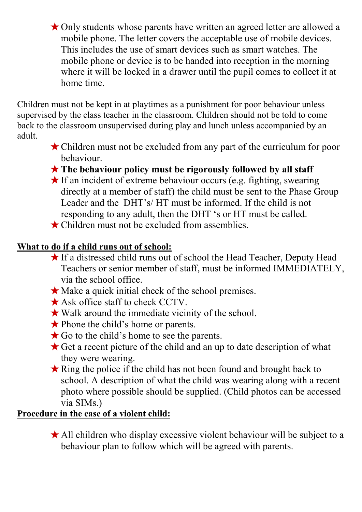★Only students whose parents have written an agreed letter are allowed a mobile phone. The letter covers the acceptable use of mobile devices. This includes the use of smart devices such as smart watches. The mobile phone or device is to be handed into reception in the morning where it will be locked in a drawer until the pupil comes to collect it at home time.

Children must not be kept in at playtimes as a punishment for poor behaviour unless supervised by the class teacher in the classroom. Children should not be told to come back to the classroom unsupervised during play and lunch unless accompanied by an adult.

- ★Children must not be excluded from any part of the curriculum for poor behaviour.
- ★**The behaviour policy must be rigorously followed by all staff**
- $\star$  If an incident of extreme behaviour occurs (e.g. fighting, swearing directly at a member of staff) the child must be sent to the Phase Group Leader and the DHT's/ HT must be informed. If the child is not responding to any adult, then the DHT 's or HT must be called.
- **★ Children must not be excluded from assemblies.**

### **What to do if a child runs out of school:**

- ★If a distressed child runs out of school the Head Teacher, Deputy Head Teachers or senior member of staff, must be informed IMMEDIATELY, via the school office.
- ★Make a quick initial check of the school premises.
- $\star$  Ask office staff to check CCTV.
- $\star$  Walk around the immediate vicinity of the school.
- ★Phone the child's home or parents.
- $\star$  Go to the child's home to see the parents.
- $\star$  Get a recent picture of the child and an up to date description of what they were wearing.
- ★Ring the police if the child has not been found and brought back to school. A description of what the child was wearing along with a recent photo where possible should be supplied. (Child photos can be accessed via SIMs.)

### **Procedure in the case of a violent child:**

 $\star$  All children who display excessive violent behaviour will be subject to a behaviour plan to follow which will be agreed with parents.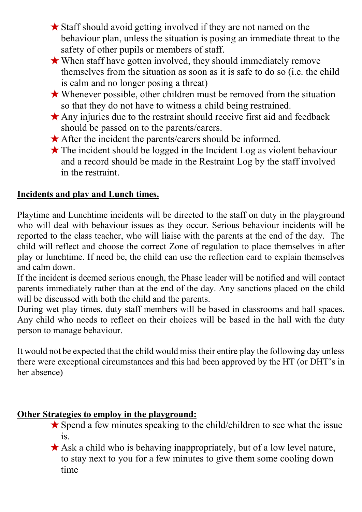- ★Staff should avoid getting involved if they are not named on the behaviour plan, unless the situation is posing an immediate threat to the safety of other pupils or members of staff.
- ★When staff have gotten involved, they should immediately remove themselves from the situation as soon as it is safe to do so (i.e. the child is calm and no longer posing a threat)
- $\star$  Whenever possible, other children must be removed from the situation so that they do not have to witness a child being restrained.
- Any injuries due to the restraint should receive first aid and feedback should be passed on to the parents/carers.
- ★After the incident the parents/carers should be informed.
- ★The incident should be logged in the Incident Log as violent behaviour and a record should be made in the Restraint Log by the staff involved in the restraint.

#### **Incidents and play and Lunch times.**

Playtime and Lunchtime incidents will be directed to the staff on duty in the playground who will deal with behaviour issues as they occur. Serious behaviour incidents will be reported to the class teacher, who will liaise with the parents at the end of the day. The child will reflect and choose the correct Zone of regulation to place themselves in after play or lunchtime. If need be, the child can use the reflection card to explain themselves and calm down.

If the incident is deemed serious enough, the Phase leader will be notified and will contact parents immediately rather than at the end of the day. Any sanctions placed on the child will be discussed with both the child and the parents.

During wet play times, duty staff members will be based in classrooms and hall spaces. Any child who needs to reflect on their choices will be based in the hall with the duty person to manage behaviour.

It would not be expected that the child would miss their entire play the following day unless there were exceptional circumstances and this had been approved by the HT (or DHT's in her absence)

#### **Other Strategies to employ in the playground:**

- $\star$  Spend a few minutes speaking to the child/children to see what the issue is.
- ★Ask a child who is behaving inappropriately, but of a low level nature, to stay next to you for a few minutes to give them some cooling down time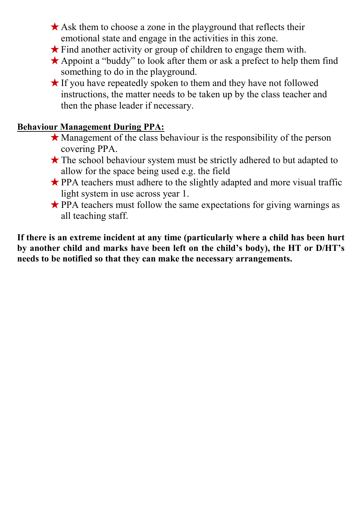- $\star$  Ask them to choose a zone in the playground that reflects their emotional state and engage in the activities in this zone.
- $\star$  Find another activity or group of children to engage them with.
- ★Appoint a "buddy" to look after them or ask a prefect to help them find something to do in the playground.
- ★If you have repeatedly spoken to them and they have not followed instructions, the matter needs to be taken up by the class teacher and then the phase leader if necessary.

#### **Behaviour Management During PPA:**

- $\star$  Management of the class behaviour is the responsibility of the person covering PPA.
- ★The school behaviour system must be strictly adhered to but adapted to allow for the space being used e.g. the field
- ★PPA teachers must adhere to the slightly adapted and more visual traffic light system in use across year 1.
- $\star$  PPA teachers must follow the same expectations for giving warnings as all teaching staff.

**If there is an extreme incident at any time (particularly where a child has been hurt by another child and marks have been left on the child's body), the HT or D/HT's needs to be notified so that they can make the necessary arrangements.**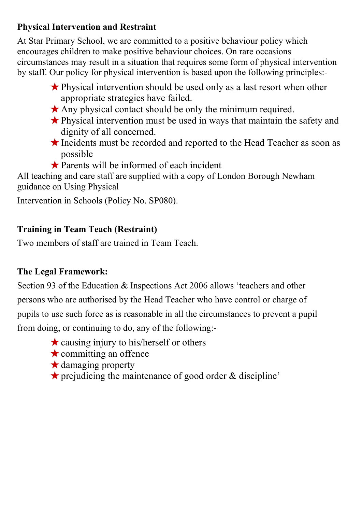#### **Physical Intervention and Restraint**

At Star Primary School, we are committed to a positive behaviour policy which encourages children to make positive behaviour choices. On rare occasions circumstances may result in a situation that requires some form of physical intervention by staff. Our policy for physical intervention is based upon the following principles:-

- ★Physical intervention should be used only as a last resort when other appropriate strategies have failed.
- $\star$  Any physical contact should be only the minimum required.
- ★Physical intervention must be used in ways that maintain the safety and dignity of all concerned.
- ★Incidents must be recorded and reported to the Head Teacher as soon as possible
- ★Parents will be informed of each incident

All teaching and care staff are supplied with a copy of London Borough Newham guidance on Using Physical

Intervention in Schools (Policy No. SP080).

### **Training in Team Teach (Restraint)**

Two members of staff are trained in Team Teach.

### **The Legal Framework:**

Section 93 of the Education & Inspections Act 2006 allows 'teachers and other persons who are authorised by the Head Teacher who have control or charge of pupils to use such force as is reasonable in all the circumstances to prevent a pupil from doing, or continuing to do, any of the following:-

- $\star$  causing injury to his/herself or others
- $\star$  committing an offence
- ★damaging property
- $\star$  prejudicing the maintenance of good order & discipline'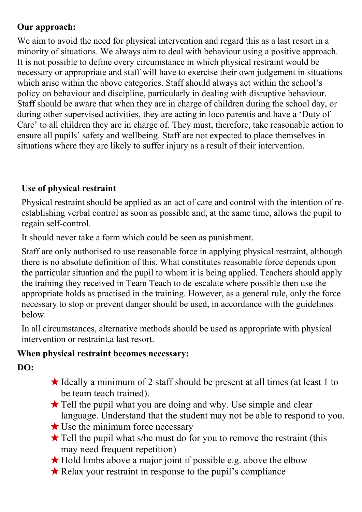#### **Our approach:**

We aim to avoid the need for physical intervention and regard this as a last resort in a minority of situations. We always aim to deal with behaviour using a positive approach. It is not possible to define every circumstance in which physical restraint would be necessary or appropriate and staff will have to exercise their own judgement in situations which arise within the above categories. Staff should always act within the school's policy on behaviour and discipline, particularly in dealing with disruptive behaviour. Staff should be aware that when they are in charge of children during the school day, or during other supervised activities, they are acting in loco parentis and have a 'Duty of Care' to all children they are in charge of. They must, therefore, take reasonable action to ensure all pupils' safety and wellbeing. Staff are not expected to place themselves in situations where they are likely to suffer injury as a result of their intervention.

### **Use of physical restraint**

Physical restraint should be applied as an act of care and control with the intention of reestablishing verbal control as soon as possible and, at the same time, allows the pupil to regain self-control.

It should never take a form which could be seen as punishment.

Staff are only authorised to use reasonable force in applying physical restraint, although there is no absolute definition of this. What constitutes reasonable force depends upon the particular situation and the pupil to whom it is being applied. Teachers should apply the training they received in Team Teach to de-escalate where possible then use the appropriate holds as practised in the training. However, as a general rule, only the force necessary to stop or prevent danger should be used, in accordance with the guidelines below.

In all circumstances, alternative methods should be used as appropriate with physical intervention or restraint,a last resort.

#### **When physical restraint becomes necessary:**

**DO:**

- $\star$  Ideally a minimum of 2 staff should be present at all times (at least 1 to be team teach trained).
- ★Tell the pupil what you are doing and why. Use simple and clear language. Understand that the student may not be able to respond to you.
- ★Use the minimum force necessary
- $\star$  Tell the pupil what s/he must do for you to remove the restraint (this may need frequent repetition)
- ★Hold limbs above a major joint if possible e.g. above the elbow
- ★Relax your restraint in response to the pupil's compliance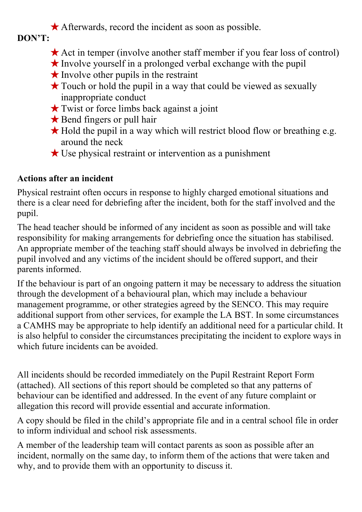$\star$  Afterwards, record the incident as soon as possible.

**DON'T:**

- ★Act in temper (involve another staff member if you fear loss of control)
- $\star$  Involve yourself in a prolonged verbal exchange with the pupil
- $\star$  Involve other pupils in the restraint
- **★Touch or hold the pupil in a way that could be viewed as sexually** inappropriate conduct
- $\star$  Twist or force limbs back against a joint
- ★Bend fingers or pull hair
- $\star$  Hold the pupil in a way which will restrict blood flow or breathing e.g. around the neck
- $\star$  Use physical restraint or intervention as a punishment

### **Actions after an incident**

Physical restraint often occurs in response to highly charged emotional situations and there is a clear need for debriefing after the incident, both for the staff involved and the pupil.

The head teacher should be informed of any incident as soon as possible and will take responsibility for making arrangements for debriefing once the situation has stabilised. An appropriate member of the teaching staff should always be involved in debriefing the pupil involved and any victims of the incident should be offered support, and their parents informed.

If the behaviour is part of an ongoing pattern it may be necessary to address the situation through the development of a behavioural plan, which may include a behaviour management programme, or other strategies agreed by the SENCO. This may require additional support from other services, for example the LA BST. In some circumstances a CAMHS may be appropriate to help identify an additional need for a particular child. It is also helpful to consider the circumstances precipitating the incident to explore ways in which future incidents can be avoided.

All incidents should be recorded immediately on the Pupil Restraint Report Form (attached). All sections of this report should be completed so that any patterns of behaviour can be identified and addressed. In the event of any future complaint or allegation this record will provide essential and accurate information.

A copy should be filed in the child's appropriate file and in a central school file in order to inform individual and school risk assessments.

A member of the leadership team will contact parents as soon as possible after an incident, normally on the same day, to inform them of the actions that were taken and why, and to provide them with an opportunity to discuss it.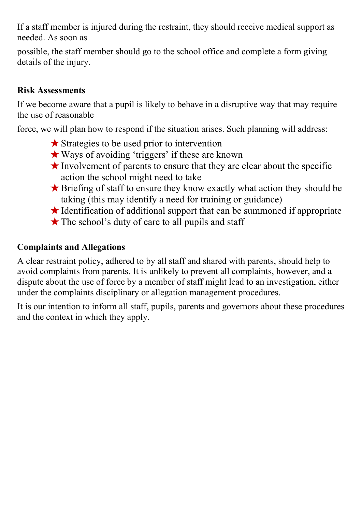If a staff member is injured during the restraint, they should receive medical support as needed. As soon as

possible, the staff member should go to the school office and complete a form giving details of the injury.

#### **Risk Assessments**

If we become aware that a pupil is likely to behave in a disruptive way that may require the use of reasonable

force, we will plan how to respond if the situation arises. Such planning will address:

- ★Strategies to be used prior to intervention
- ★Ways of avoiding 'triggers' if these are known
- $\star$  Involvement of parents to ensure that they are clear about the specific action the school might need to take
- ★Briefing of staff to ensure they know exactly what action they should be taking (this may identify a need for training or guidance)
- $\star$  Identification of additional support that can be summoned if appropriate
- $\star$  The school's duty of care to all pupils and staff

#### **Complaints and Allegations**

A clear restraint policy, adhered to by all staff and shared with parents, should help to avoid complaints from parents. It is unlikely to prevent all complaints, however, and a dispute about the use of force by a member of staff might lead to an investigation, either under the complaints disciplinary or allegation management procedures.

It is our intention to inform all staff, pupils, parents and governors about these procedures and the context in which they apply.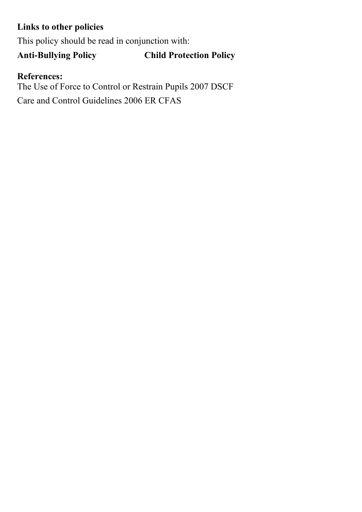### **Links to other policies**

This policy should be read in conjunction with:

# **Anti-Bullying Policy Child Protection Policy**

#### **References:**

The Use of Force to Control or Restrain Pupils 2007 DSCF Care and Control Guidelines 2006 ER CFAS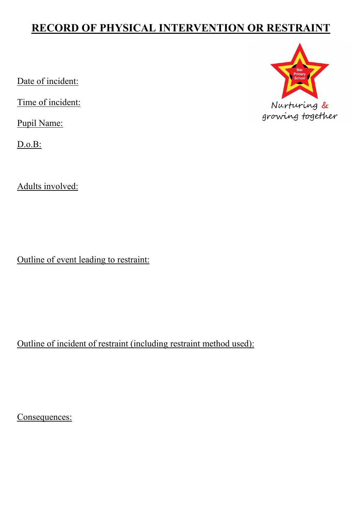# **RECORD OF PHYSICAL INTERVENTION OR RESTRAINT**

Date of incident:

Time of incident:

Pupil Name:

D.o.B:

Adults involved:

Outline of event leading to restraint:

Outline of incident of restraint (including restraint method used):

Consequences:

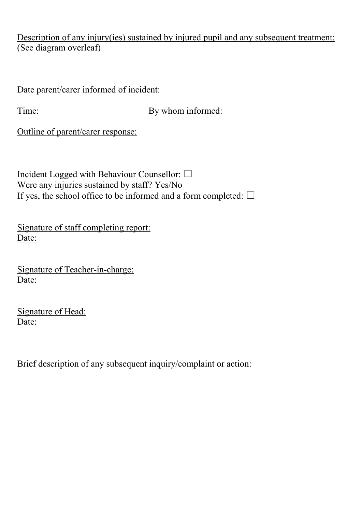Description of any injury(ies) sustained by injured pupil and any subsequent treatment: (See diagram overleaf)

Date parent/carer informed of incident:

Time: By whom informed:

Outline of parent/carer response:

Incident Logged with Behaviour Counsellor: ☐ Were any injuries sustained by staff? Yes/No If yes, the school office to be informed and a form completed:  $\Box$ 

Signature of staff completing report: Date:

Signature of Teacher-in-charge: Date:

Signature of Head: Date:

Brief description of any subsequent inquiry/complaint or action: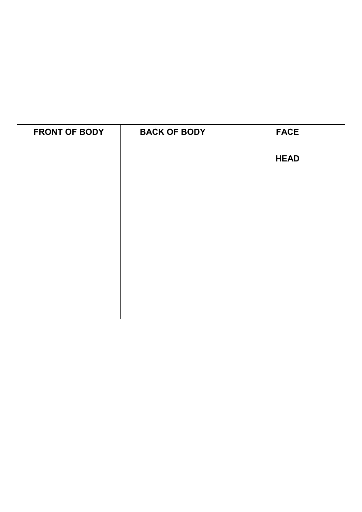| <b>FRONT OF BODY</b> | <b>BACK OF BODY</b> | <b>FACE</b> |
|----------------------|---------------------|-------------|
|                      |                     | <b>HEAD</b> |
|                      |                     |             |
|                      |                     |             |
|                      |                     |             |
|                      |                     |             |
|                      |                     |             |
|                      |                     |             |
|                      |                     |             |